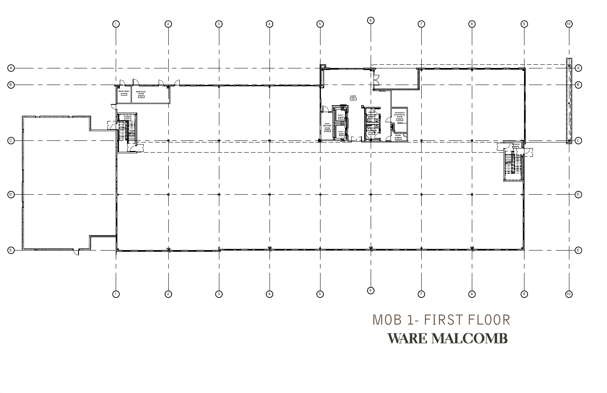

MOB 1- FIRST FLOOR

## **WARE MALCOMB**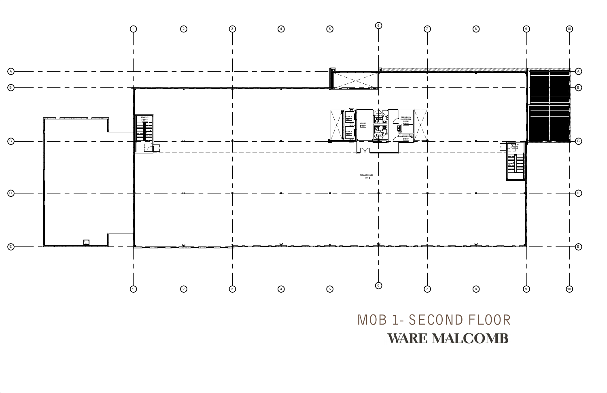

MOB 1- SECOND FLOOR

## **WARE MALCOMB**